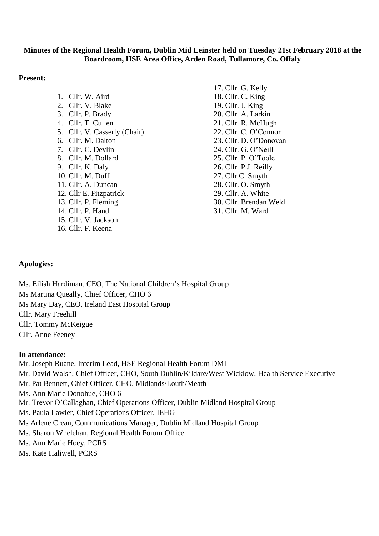## **Minutes of the Regional Health Forum, Dublin Mid Leinster held on Tuesday 21st February 2018 at the Boardroom, HSE Area Office, Arden Road, Tullamore, Co. Offaly**

## **Present:**

1. Cllr. W. Aird 2. Cllr. V. Blake 3. Cllr. P. Brady 4. Cllr. T. Cullen 5. Cllr. V. Casserly (Chair) 6. Cllr. M. Dalton 7. Cllr. C. Devlin 8. Cllr. M. Dollard 9. Cllr. K. Daly 10. Cllr. M. Duff 11. Cllr. A. Duncan 12. Cllr E. Fitzpatrick 13. Cllr. P. Fleming 14. Cllr. P. Hand 15. Cllr. V. Jackson 16. Cllr. F. Keena

17. Cllr. G. Kelly 18. Cllr. C. King 19. Cllr. J. King 20. Cllr. A. Larkin 21. Cllr. R. McHugh 22. Cllr. C. O'Connor 23. Cllr. D. O'Donovan 24. Cllr. G. O'Neill 25. Cllr. P. O'Toole 26. Cllr. P.J. Reilly 27. Cllr C. Smyth 28. Cllr. O. Smyth 29. Cllr. A. White 30. Cllr. Brendan Weld 31. Cllr. M. Ward

# **Apologies:**

Ms. Eilish Hardiman, CEO, The National Children's Hospital Group Ms Martina Queally, Chief Officer, CHO 6 Ms Mary Day, CEO, Ireland East Hospital Group Cllr. Mary Freehill Cllr. Tommy McKeigue Cllr. Anne Feeney

## **In attendance:**

Mr. Joseph Ruane, Interim Lead, HSE Regional Health Forum DML Mr. David Walsh, Chief Officer, CHO, South Dublin/Kildare/West Wicklow, Health Service Executive Mr. Pat Bennett, Chief Officer, CHO, Midlands/Louth/Meath Ms. Ann Marie Donohue, CHO 6 Mr. Trevor O'Callaghan, Chief Operations Officer, Dublin Midland Hospital Group Ms. Paula Lawler, Chief Operations Officer, IEHG Ms Arlene Crean, Communications Manager, Dublin Midland Hospital Group Ms. Sharon Whelehan, Regional Health Forum Office Ms. Ann Marie Hoey, PCRS Ms. Kate Haliwell, PCRS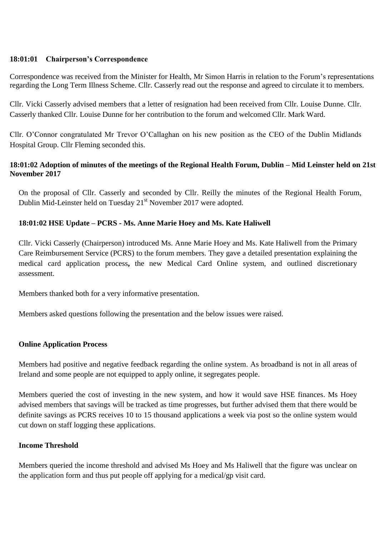## **18:01:01 Chairperson's Correspondence**

Correspondence was received from the Minister for Health, Mr Simon Harris in relation to the Forum's representations regarding the Long Term Illness Scheme. Cllr. Casserly read out the response and agreed to circulate it to members.

Cllr. Vicki Casserly advised members that a letter of resignation had been received from Cllr. Louise Dunne. Cllr. Casserly thanked Cllr. Louise Dunne for her contribution to the forum and welcomed Cllr. Mark Ward.

Cllr. O'Connor congratulated Mr Trevor O'Callaghan on his new position as the CEO of the Dublin Midlands Hospital Group. Cllr Fleming seconded this.

# **18:01:02 Adoption of minutes of the meetings of the Regional Health Forum, Dublin – Mid Leinster held on 21st November 2017**

On the proposal of Cllr. Casserly and seconded by Cllr. Reilly the minutes of the Regional Health Forum, Dublin Mid-Leinster held on Tuesday 21<sup>st</sup> November 2017 were adopted.

# **18:01:02 HSE Update – PCRS - Ms. Anne Marie Hoey and Ms. Kate Haliwell**

Cllr. Vicki Casserly (Chairperson) introduced Ms. Anne Marie Hoey and Ms. Kate Haliwell from the Primary Care Reimbursement Service (PCRS) to the forum members. They gave a detailed presentation explaining the medical card application process**,** the new Medical Card Online system, and outlined discretionary assessment.

Members thanked both for a very informative presentation.

Members asked questions following the presentation and the below issues were raised.

## **Online Application Process**

Members had positive and negative feedback regarding the online system. As broadband is not in all areas of Ireland and some people are not equipped to apply online, it segregates people.

Members queried the cost of investing in the new system, and how it would save HSE finances. Ms Hoey advised members that savings will be tracked as time progresses, but further advised them that there would be definite savings as PCRS receives 10 to 15 thousand applications a week via post so the online system would cut down on staff logging these applications.

## **Income Threshold**

Members queried the income threshold and advised Ms Hoey and Ms Haliwell that the figure was unclear on the application form and thus put people off applying for a medical/gp visit card.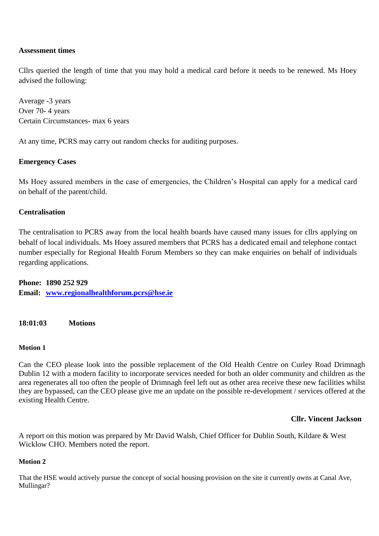# **Assessment times**

Cllrs queried the length of time that you may hold a medical card before it needs to be renewed. Ms Hoey advised the following:

Average -3 years Over 70- 4 years Certain Circumstances- max 6 years

At any time, PCRS may carry out random checks for auditing purposes.

## **Emergency Cases**

Ms Hoey assured members in the case of emergencies, the Children's Hospital can apply for a medical card on behalf of the parent/child.

# **Centralisation**

The centralisation to PCRS away from the local health boards have caused many issues for cllrs applying on behalf of local individuals. Ms Hoey assured members that PCRS has a dedicated email and telephone contact number especially for Regional Health Forum Members so they can make enquiries on behalf of individuals regarding applications.

**Phone: 1890 252 929 Email: [www.regionalhealthforum.pcrs@hse.ie](http://www.regionalhealthforum.pcrs@hse.ie/)**

**18:01:03 Motions**

## **Motion 1**

Can the CEO please look into the possible replacement of the Old Health Centre on Curley Road Drimnagh Dublin 12 with a modern facility to incorporate services needed for both an older community and children as the area regenerates all too often the people of Drimnagh feel left out as other area receive these new facilities whilst they are bypassed, can the CEO please give me an update on the possible re-development / services offered at the existing Health Centre.

## **Cllr. Vincent Jackson**

A report on this motion was prepared by Mr David Walsh, Chief Officer for Dublin South, Kildare & West Wicklow CHO. Members noted the report.

## **Motion 2**

That the HSE would actively pursue the concept of social housing provision on the site it currently owns at Canal Ave, Mullingar?